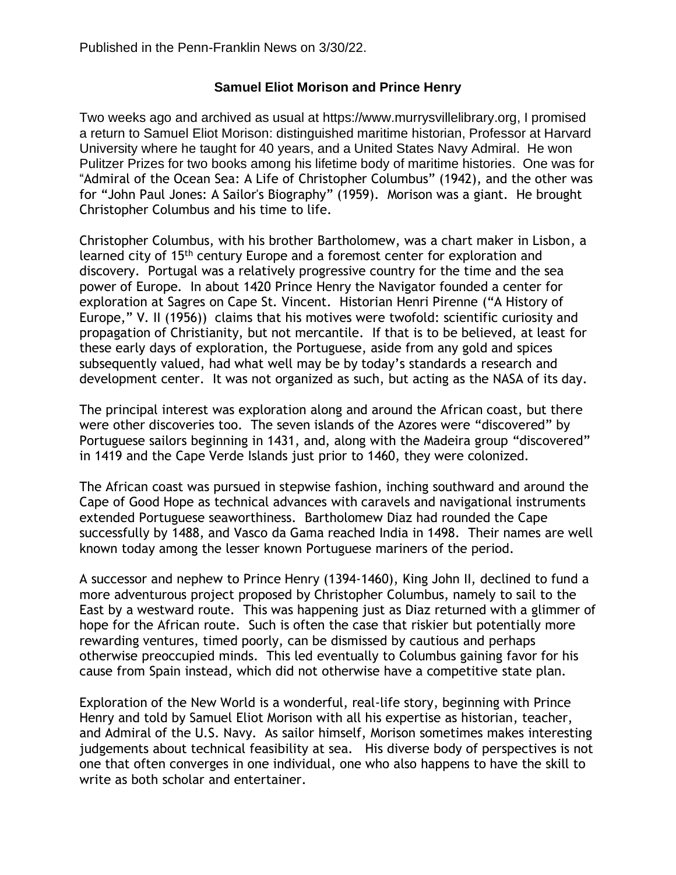## **Samuel Eliot Morison and Prince Henry**

Two weeks ago and archived as usual at https://www.murrysvillelibrary.org, I promised a return to Samuel Eliot Morison: distinguished maritime historian, Professor at Harvard University where he taught for 40 years, and a United States Navy Admiral. He won Pulitzer Prizes for two books among his lifetime body of maritime histories. One was for "Admiral of the Ocean Sea: A Life of Christopher Columbus" (1942), and the other was for "John Paul Jones: A Sailor's Biography" (1959). Morison was a giant. He brought Christopher Columbus and his time to life.

Christopher Columbus, with his brother Bartholomew, was a chart maker in Lisbon, a learned city of 15th century Europe and a foremost center for exploration and discovery. Portugal was a relatively progressive country for the time and the sea power of Europe. In about 1420 Prince Henry the Navigator founded a center for exploration at Sagres on Cape St. Vincent. Historian Henri Pirenne ("A History of Europe," V. II (1956)) claims that his motives were twofold: scientific curiosity and propagation of Christianity, but not mercantile. If that is to be believed, at least for these early days of exploration, the Portuguese, aside from any gold and spices subsequently valued, had what well may be by today's standards a research and development center. It was not organized as such, but acting as the NASA of its day.

The principal interest was exploration along and around the African coast, but there were other discoveries too. The seven islands of the Azores were "discovered" by Portuguese sailors beginning in 1431, and, along with the Madeira group "discovered" in 1419 and the Cape Verde Islands just prior to 1460, they were colonized.

The African coast was pursued in stepwise fashion, inching southward and around the Cape of Good Hope as technical advances with caravels and navigational instruments extended Portuguese seaworthiness. Bartholomew Diaz had rounded the Cape successfully by 1488, and Vasco da Gama reached India in 1498. Their names are well known today among the lesser known Portuguese mariners of the period.

A successor and nephew to Prince Henry (1394-1460), King John II, declined to fund a more adventurous project proposed by Christopher Columbus, namely to sail to the East by a westward route. This was happening just as Diaz returned with a glimmer of hope for the African route. Such is often the case that riskier but potentially more rewarding ventures, timed poorly, can be dismissed by cautious and perhaps otherwise preoccupied minds. This led eventually to Columbus gaining favor for his cause from Spain instead, which did not otherwise have a competitive state plan.

Exploration of the New World is a wonderful, real-life story, beginning with Prince Henry and told by Samuel Eliot Morison with all his expertise as historian, teacher, and Admiral of the U.S. Navy. As sailor himself, Morison sometimes makes interesting judgements about technical feasibility at sea. His diverse body of perspectives is not one that often converges in one individual, one who also happens to have the skill to write as both scholar and entertainer.